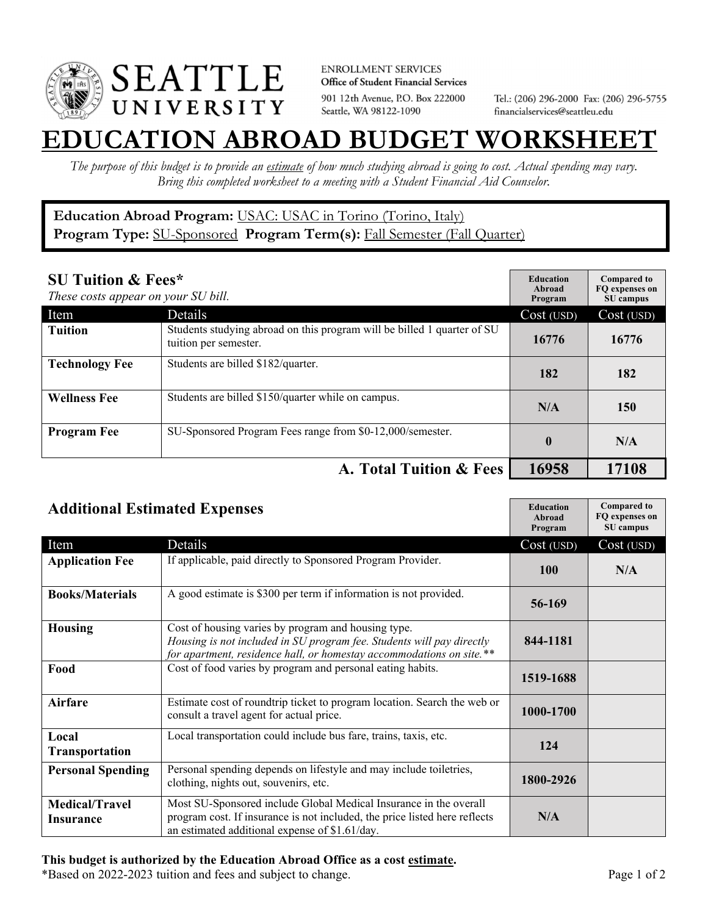

**ENROLLMENT SERVICES** Office of Student Financial Services 901 12th Avenue, P.O. Box 222000 Seattle, WA 98122-1090

Tel.: (206) 296-2000 Fax: (206) 296-5755 financialservices@seattleu.edu

## **EATION ABROAD BUDGET WORKSHEE**

*The purpose of this budget is to provide an estimate of how much studying abroad is going to cost. Actual spending may vary. Bring this completed worksheet to a meeting with a Student Financial Aid Counselor.* 

## **Education Abroad Program:** USAC: USAC in Torino (Torino, Italy) Program Type: **SU-Sponsored** Program Term(s): **Fall Semester (Fall Quarter)**

| <b>SU Tuition &amp; Fees*</b><br>These costs appear on your SU bill. |                                                                                                  | <b>Education</b><br>Abroad<br>Program | <b>Compared to</b><br>FO expenses on<br>SU campus |
|----------------------------------------------------------------------|--------------------------------------------------------------------------------------------------|---------------------------------------|---------------------------------------------------|
| Item                                                                 | Details                                                                                          | Cost (USD)                            | Cost (USD)                                        |
| <b>Tuition</b>                                                       | Students studying abroad on this program will be billed 1 quarter of SU<br>tuition per semester. | 16776                                 | 16776                                             |
| <b>Technology Fee</b>                                                | Students are billed \$182/quarter.                                                               | 182                                   | 182                                               |
| <b>Wellness Fee</b>                                                  | Students are billed \$150/quarter while on campus.                                               | N/A                                   | 150                                               |
| <b>Program Fee</b>                                                   | SU-Sponsored Program Fees range from \$0-12,000/semester.                                        | $\bf{0}$                              | N/A                                               |
|                                                                      | A. Total Tuition & Fees                                                                          | 16958                                 | 17108                                             |

| <b>Additional Estimated Expenses</b>      |                                                                                                                                                                                                      | <b>Education</b><br>Abroad<br>Program | <b>Compared to</b><br>FQ expenses on<br>SU campus |
|-------------------------------------------|------------------------------------------------------------------------------------------------------------------------------------------------------------------------------------------------------|---------------------------------------|---------------------------------------------------|
| Item                                      | Details                                                                                                                                                                                              | Cost (USD)                            | Cost (USD)                                        |
| <b>Application Fee</b>                    | If applicable, paid directly to Sponsored Program Provider.                                                                                                                                          | <b>100</b>                            | N/A                                               |
| <b>Books/Materials</b>                    | A good estimate is \$300 per term if information is not provided.                                                                                                                                    | 56-169                                |                                                   |
| <b>Housing</b>                            | Cost of housing varies by program and housing type.<br>Housing is not included in SU program fee. Students will pay directly<br>for apartment, residence hall, or homestay accommodations on site.** | 844-1181                              |                                                   |
| Food                                      | Cost of food varies by program and personal eating habits.                                                                                                                                           | 1519-1688                             |                                                   |
| <b>Airfare</b>                            | Estimate cost of roundtrip ticket to program location. Search the web or<br>consult a travel agent for actual price.                                                                                 | 1000-1700                             |                                                   |
| Local<br><b>Transportation</b>            | Local transportation could include bus fare, trains, taxis, etc.                                                                                                                                     | 124                                   |                                                   |
| <b>Personal Spending</b>                  | Personal spending depends on lifestyle and may include toiletries,<br>clothing, nights out, souvenirs, etc.                                                                                          | 1800-2926                             |                                                   |
| <b>Medical/Travel</b><br><b>Insurance</b> | Most SU-Sponsored include Global Medical Insurance in the overall<br>program cost. If insurance is not included, the price listed here reflects<br>an estimated additional expense of \$1.61/day.    | N/A                                   |                                                   |

## **This budget is authorized by the Education Abroad Office as a cost estimate.**

\*Based on 2022-2023 tuition and fees and subject to change. Page 1 of 2